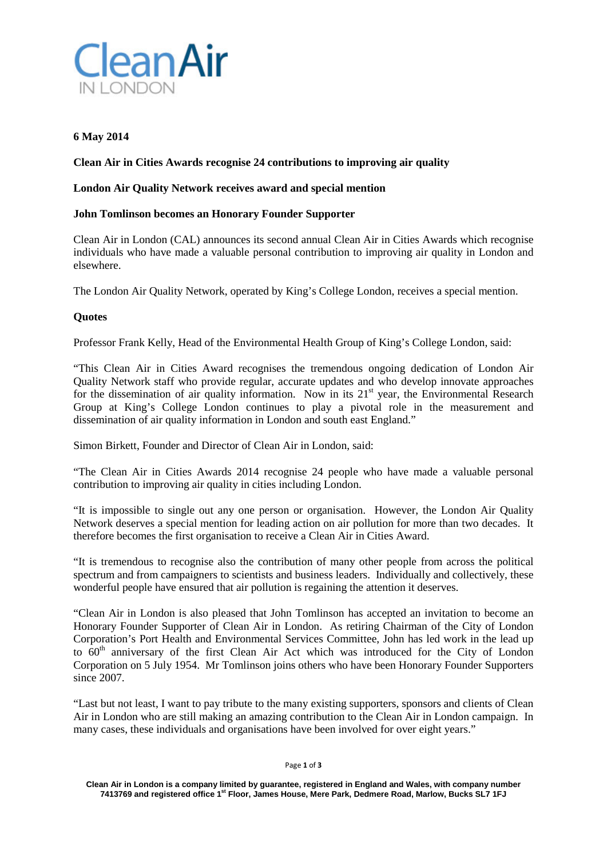

# **6 May 2014**

# **Clean Air in Cities Awards recognise 24 contributions to improving air quality**

## **London Air Quality Network receives award and special mention**

## **John Tomlinson becomes an Honorary Founder Supporter**

Clean Air in London (CAL) announces its second annual Clean Air in Cities Awards which recognise individuals who have made a valuable personal contribution to improving air quality in London and elsewhere.

The London Air Quality Network, operated by King's College London, receives a special mention.

### **Quotes**

Professor Frank Kelly, Head of the Environmental Health Group of King's College London, said:

"This Clean Air in Cities Award recognises the tremendous ongoing dedication of London Air Quality Network staff who provide regular, accurate updates and who develop innovate approaches for the dissemination of air quality information. Now in its  $21<sup>st</sup>$  year, the Environmental Research Group at King's College London continues to play a pivotal role in the measurement and dissemination of air quality information in London and south east England."

Simon Birkett, Founder and Director of Clean Air in London, said:

"The Clean Air in Cities Awards 2014 recognise 24 people who have made a valuable personal contribution to improving air quality in cities including London.

"It is impossible to single out any one person or organisation. However, the London Air Quality Network deserves a special mention for leading action on air pollution for more than two decades. It therefore becomes the first organisation to receive a Clean Air in Cities Award.

"It is tremendous to recognise also the contribution of many other people from across the political spectrum and from campaigners to scientists and business leaders. Individually and collectively, these wonderful people have ensured that air pollution is regaining the attention it deserves.

"Clean Air in London is also pleased that John Tomlinson has accepted an invitation to become an Honorary Founder Supporter of Clean Air in London. As retiring Chairman of the City of London Corporation's Port Health and Environmental Services Committee, John has led work in the lead up to  $60<sup>th</sup>$  anniversary of the first Clean Air Act which was introduced for the City of London Corporation on 5 July 1954. Mr Tomlinson joins others who have been Honorary Founder Supporters since 2007.

"Last but not least, I want to pay tribute to the many existing supporters, sponsors and clients of Clean Air in London who are still making an amazing contribution to the Clean Air in London campaign. In many cases, these individuals and organisations have been involved for over eight years."

Page **1** of **3**

**Clean Air in London is a company limited by guarantee, registered in England and Wales, with company number 7413769 and registered office 1st Floor, James House, Mere Park, Dedmere Road, Marlow, Bucks SL7 1FJ**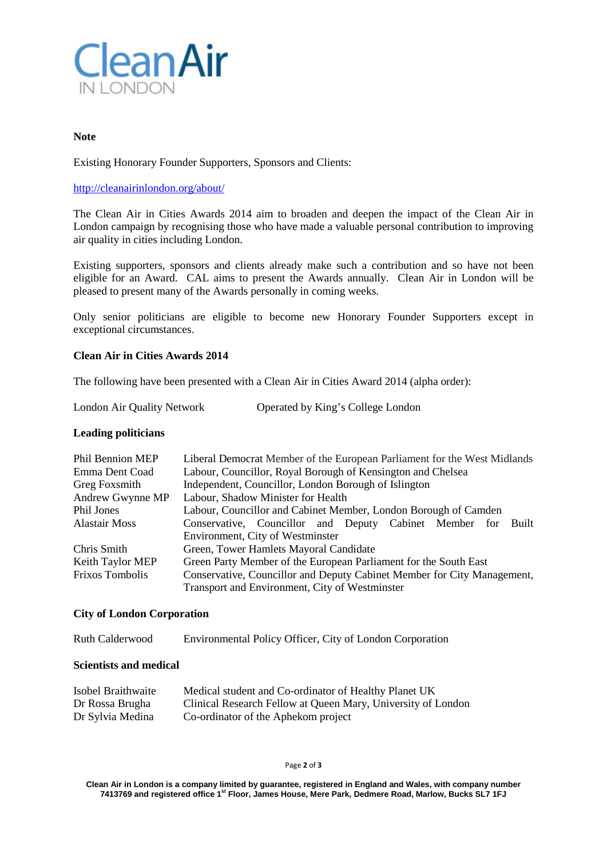

### **Note**

Existing Honorary Founder Supporters, Sponsors and Clients:

### <http://cleanairinlondon.org/about/>

The Clean Air in Cities Awards 2014 aim to broaden and deepen the impact of the Clean Air in London campaign by recognising those who have made a valuable personal contribution to improving air quality in cities including London.

Existing supporters, sponsors and clients already make such a contribution and so have not been eligible for an Award. CAL aims to present the Awards annually. Clean Air in London will be pleased to present many of the Awards personally in coming weeks.

Only senior politicians are eligible to become new Honorary Founder Supporters except in exceptional circumstances.

### **Clean Air in Cities Awards 2014**

The following have been presented with a Clean Air in Cities Award 2014 (alpha order):

London Air Quality Network Operated by King's College London

# **Leading politicians**

| Phil Bennion MEP       | Liberal Democrat Member of the European Parliament for the West Midlands |
|------------------------|--------------------------------------------------------------------------|
| Emma Dent Coad         | Labour, Councillor, Royal Borough of Kensington and Chelsea              |
| Greg Foxsmith          | Independent, Councillor, London Borough of Islington                     |
| Andrew Gwynne MP       | Labour, Shadow Minister for Health                                       |
| Phil Jones             | Labour, Councillor and Cabinet Member, London Borough of Camden          |
| <b>Alastair Moss</b>   | Conservative, Councillor and Deputy Cabinet Member for<br>Built          |
|                        | Environment, City of Westminster                                         |
| Chris Smith            | Green, Tower Hamlets Mayoral Candidate                                   |
| Keith Taylor MEP       | Green Party Member of the European Parliament for the South East         |
| <b>Frixos Tombolis</b> | Conservative, Councillor and Deputy Cabinet Member for City Management,  |
|                        | Transport and Environment, City of Westminster                           |

### **City of London Corporation**

Ruth Calderwood Environmental Policy Officer, City of London Corporation

## **Scientists and medical**

| Isobel Braithwaite | Medical student and Co-ordinator of Healthy Planet UK        |
|--------------------|--------------------------------------------------------------|
| Dr Rossa Brugha    | Clinical Research Fellow at Queen Mary, University of London |
| Dr Sylvia Medina   | Co-ordinator of the Aphekom project                          |

Page **2** of **3**

**Clean Air in London is a company limited by guarantee, registered in England and Wales, with company number 7413769 and registered office 1st Floor, James House, Mere Park, Dedmere Road, Marlow, Bucks SL7 1FJ**